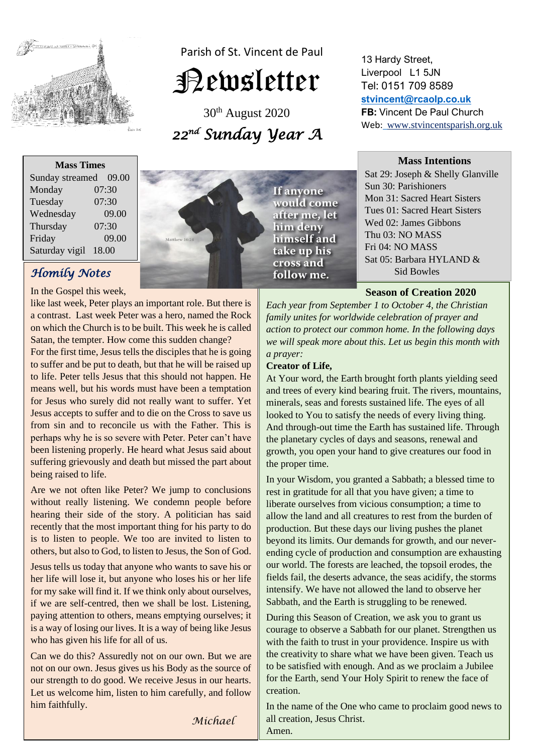

Parish of St. Vincent de Paul

# Newsletter

30th August 2020 *22 nd Sunday Year A* 

13 Hardy Street, Liverpool L1 5JN Tel: 0151 709 8589 **[stvincent@rcaolp.co.uk](mailto:stvincent@rcaolp.co.uk) FB:** Vincent De Paul Church Web: www.stvincentsparish.org.uk

#### **Mass Intentions**

| Sat 29: Joseph & Shelly Glanville   |
|-------------------------------------|
| Sun 30: Parishioners                |
| <b>Mon 31: Sacred Heart Sisters</b> |
| Tues 01: Sacred Heart Sisters       |
| Wed 02: James Gibbons               |
| Thu 03: NO MASS                     |
| Fri 04: NO MASS                     |
| Sat 05: Barbara HYLAND &            |
| Sid Bowles                          |
|                                     |

#### **Season of Creation 2020**

*Each year from September 1 to October 4, the Christian family unites for worldwide celebration of prayer and action to protect our common home. In the following days we will speak more about this. Let us begin this month with a prayer:* 

#### **Creator of Life,**

If anyone would come after me, let him deny himself and take up his cross and follow me.

At Your word, the Earth brought forth plants yielding seed and trees of every kind bearing fruit. The rivers, mountains, minerals, seas and forests sustained life. The eyes of all looked to You to satisfy the needs of every living thing. And through-out time the Earth has sustained life. Through the planetary cycles of days and seasons, renewal and growth, you open your hand to give creatures our food in the proper time.

In your Wisdom, you granted a Sabbath; a blessed time to rest in gratitude for all that you have given; a time to liberate ourselves from vicious consumption; a time to allow the land and all creatures to rest from the burden of production. But these days our living pushes the planet beyond its limits. Our demands for growth, and our neverending cycle of production and consumption are exhausting our world. The forests are leached, the topsoil erodes, the fields fail, the deserts advance, the seas acidify, the storms intensify. We have not allowed the land to observe her Sabbath, and the Earth is struggling to be renewed.

During this Season of Creation, we ask you to grant us courage to observe a Sabbath for our planet. Strengthen us with the faith to trust in your providence. Inspire us with the creativity to share what we have been given. Teach us to be satisfied with enough. And as we proclaim a Jubilee for the Earth, send Your Holy Spirit to renew the face of creation.

In the name of the One who came to proclaim good news to all creation, Jesus Christ. Amen.

**Mass Times** Sunday streamed 09.00 Monday 07:30 Tuesday 07:30 Wednesday 09.00 Thursday 07:30 Friday 09.00 Saturday vigil 18.00

# *Homily Notes*

In the Gospel this week,

like last week, Peter plays an important role. But there is a contrast. Last week Peter was a hero, named the Rock on which the Church is to be built. This week he is called Satan, the tempter. How come this sudden change?

For the first time, Jesus tells the disciples that he is going to suffer and be put to death, but that he will be raised up to life. Peter tells Jesus that this should not happen. He means well, but his words must have been a temptation for Jesus who surely did not really want to suffer. Yet Jesus accepts to suffer and to die on the Cross to save us from sin and to reconcile us with the Father. This is perhaps why he is so severe with Peter. Peter can't have been listening properly. He heard what Jesus said about suffering grievously and death but missed the part about being raised to life.

Are we not often like Peter? We jump to conclusions without really listening. We condemn people before hearing their side of the story. A politician has said recently that the most important thing for his party to do is to listen to people. We too are invited to listen to others, but also to God, to listen to Jesus, the Son of God.

Jesus tells us today that anyone who wants to save his or her life will lose it, but anyone who loses his or her life for my sake will find it. If we think only about ourselves, if we are self-centred, then we shall be lost. Listening, paying attention to others, means emptying ourselves; it is a way of losing our lives. It is a way of being like Jesus who has given his life for all of us.

Can we do this? Assuredly not on our own. But we are not on our own. Jesus gives us his Body as the source of our strength to do good. We receive Jesus in our hearts. Let us welcome him, listen to him carefully, and follow him faithfully.

*Michael*